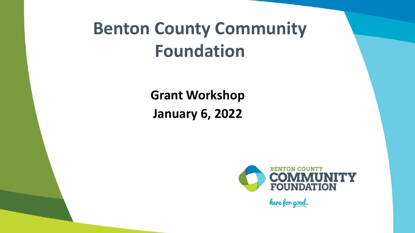# **Benton County Community Foundation**

**Grant Workshop January 6, 2022**



here for good.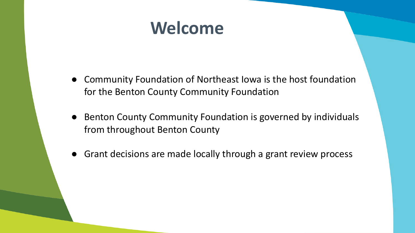### **Welcome**

- Community Foundation of Northeast Iowa is the host foundation for the Benton County Community Foundation
- Benton County Community Foundation is governed by individuals from throughout Benton County
- Grant decisions are made locally through a grant review process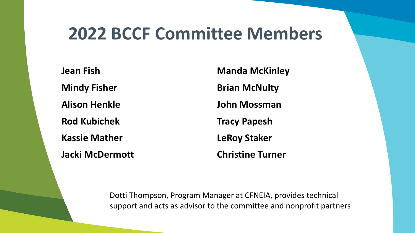#### **2022 BCCF Committee Members**

**Jean Fish Manda McKinley Mindy Fisher Brian McNulty Alison Henkle John Mossman Rod Kubichek Tracy Papesh Kassie Mather LeRoy Staker Jacki McDermott Christine Turner**

Dotti Thompson, Program Manager at CFNEIA, provides technical support and acts as advisor to the committee and nonprofit partners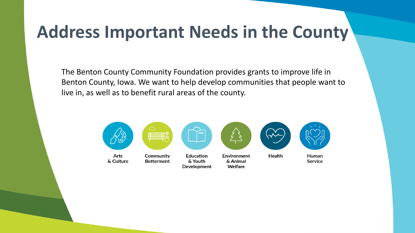### **Address Important Needs in the County**

The Benton County Community Foundation provides grants to improve life in Benton County, Iowa. We want to help develop communities that people want to live in, as well as to benefit rural areas of the county.

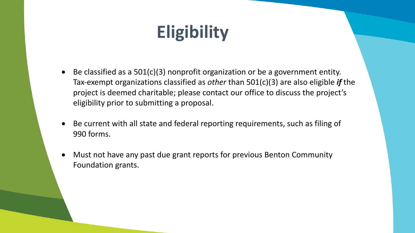# **Eligibility**

- Be classified as a  $501(c)(3)$  nonprofit organization or be a government entity. Tax-exempt organizations classified as *other* than 501(c)(3) are also eligible *if* the project is deemed charitable; please contact our office to discuss the project's eligibility prior to submitting a proposal.
- Be current with all state and federal reporting requirements, such as filing of 990 forms.
- Must not have any past due grant reports for previous Benton Community Foundation grants.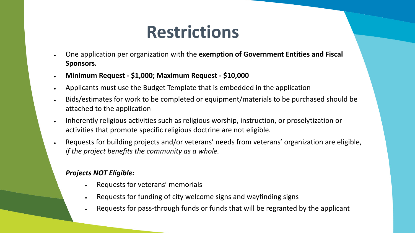#### **Restrictions**

- One application per organization with the **exemption of Government Entities and Fiscal Sponsors.**
- **Minimum Request - \$1,000; Maximum Request - \$10,000**
- Applicants must use the Budget Template that is embedded in the application
- Bids/estimates for work to be completed or equipment/materials to be purchased should be attached to the application
- Inherently religious activities such as religious worship, instruction, or proselytization or activities that promote specific religious doctrine are not eligible.
- Requests for building projects and/or veterans' needs from veterans' organization are eligible, *if the project benefits the community as a whole.*

#### *Projects NOT Eligible:*

- Requests for veterans' memorials
- Requests for funding of city welcome signs and wayfinding signs
- Requests for pass-through funds or funds that will be regranted by the applicant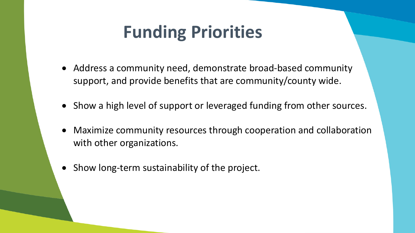# **Funding Priorities**

- Address a community need, demonstrate broad-based community support, and provide benefits that are community/county wide.
- Show a high level of support or leveraged funding from other sources.
- Maximize community resources through cooperation and collaboration with other organizations.
- Show long-term sustainability of the project.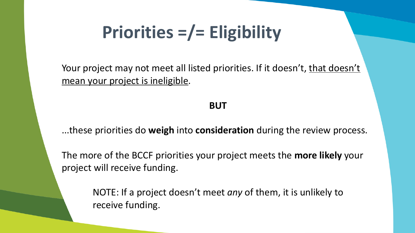# **Priorities =/= Eligibility**

Your project may not meet all listed priorities. If it doesn't, that doesn't mean your project is ineligible.

#### **BUT**

...these priorities do **weigh** into **consideration** during the review process.

The more of the BCCF priorities your project meets the **more likely** your project will receive funding.

> NOTE: If a project doesn't meet *any* of them, it is unlikely to receive funding.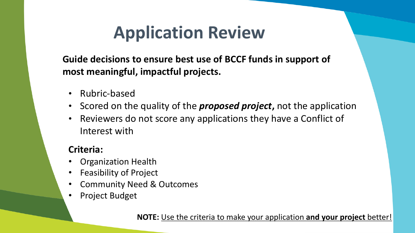# **Application Review**

**Guide decisions to ensure best use of BCCF funds in support of most meaningful, impactful projects.**

- Rubric-based
- Scored on the quality of the *proposed project***,** not the application
- Reviewers do not score any applications they have a Conflict of Interest with

#### **Criteria:**

- Organization Health
- Feasibility of Project
- Community Need & Outcomes
- Project Budget

**NOTE:** Use the criteria to make your application **and your project** better!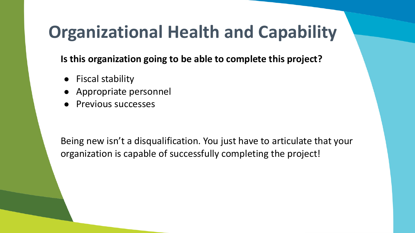# **Organizational Health and Capability**

**Is this organization going to be able to complete this project?**

- Fiscal stability
- Appropriate personnel
- Previous successes

Being new isn't a disqualification. You just have to articulate that your organization is capable of successfully completing the project!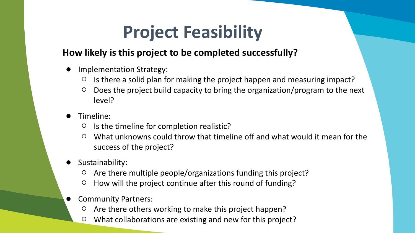# **Project Feasibility**

#### **How likely is this project to be completed successfully?**

- Implementation Strategy:
	- Is there a solid plan for making the project happen and measuring impact?
	- Does the project build capacity to bring the organization/program to the next level?
- Timeline:
	- Is the timeline for completion realistic?
	- What unknowns could throw that timeline off and what would it mean for the success of the project?
- Sustainability:
	- Are there multiple people/organizations funding this project?
	- How will the project continue after this round of funding?
- **Community Partners:** 
	- Are there others working to make this project happen?
	- What collaborations are existing and new for this project?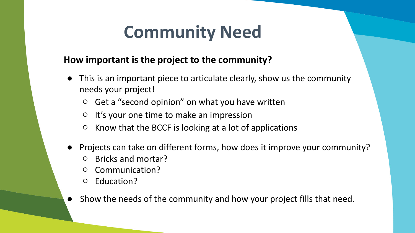### **Community Need**

#### **How important is the project to the community?**

- This is an important piece to articulate clearly, show us the community needs your project!
	- $\circ$  Get a "second opinion" on what you have written
	- It's your one time to make an impression
	- Know that the BCCF is looking at a lot of applications
- Projects can take on different forms, how does it improve your community?
	- Bricks and mortar?
	- Communication?
	- Education?
- Show the needs of the community and how your project fills that need.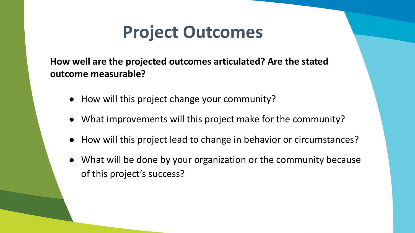### **Project Outcomes**

**How well are the projected outcomes articulated? Are the stated outcome measurable?**

- How will this project change your community?
- What improvements will this project make for the community?
- How will this project lead to change in behavior or circumstances?
- What will be done by your organization or the community because of this project's success?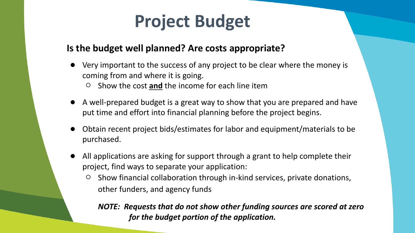### **Project Budget**

#### **Is the budget well planned? Are costs appropriate?**

- Very important to the success of any project to be clear where the money is coming from and where it is going.
	- Show the cost **and** the income for each line item
- A well-prepared budget is a great way to show that you are prepared and have put time and effort into financial planning before the project begins.
- Obtain recent project bids/estimates for labor and equipment/materials to be purchased.
- All applications are asking for support through a grant to help complete their project, find ways to separate your application:
	- Show financial collaboration through in-kind services, private donations, other funders, and agency funds

*NOTE: Requests that do not show other funding sources are scored at zero for the budget portion of the application.*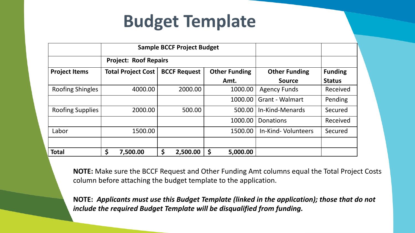### **Budget Template**

|                         | <b>Sample BCCF Project Budget</b> |                     |                      |                        |                |
|-------------------------|-----------------------------------|---------------------|----------------------|------------------------|----------------|
|                         | <b>Project: Roof Repairs</b>      |                     |                      |                        |                |
| <b>Project Items</b>    | <b>Total Project Cost</b>         | <b>BCCF Request</b> | <b>Other Funding</b> | <b>Other Funding</b>   | <b>Funding</b> |
|                         |                                   |                     | Amt.                 | <b>Source</b>          | <b>Status</b>  |
| <b>Roofing Shingles</b> | 4000.00                           | 2000.00             | 1000.00              | <b>Agency Funds</b>    | Received       |
|                         |                                   |                     | 1000.00              | <b>Grant - Walmart</b> | Pending        |
| <b>Roofing Supplies</b> | 2000.00                           | 500.00              | 500.00               | In-Kind-Menards        | Secured        |
|                         |                                   |                     | 1000.00              | Donations              | Received       |
| Labor                   | 1500.00                           |                     | 1500.00              | In-Kind-Volunteers     | Secured        |
|                         |                                   |                     |                      |                        |                |
| <b>Total</b>            | \$<br>7,500.00                    | \$<br>2,500.00      | 5,000.00<br>Ş        |                        |                |

**NOTE:** Make sure the BCCF Request and Other Funding Amt columns equal the Total Project Costs column before attaching the budget template to the application.

**NOTE:** *Applicants must use this Budget Template (linked in the application); those that do not include the required Budget Template will be disqualified from funding.*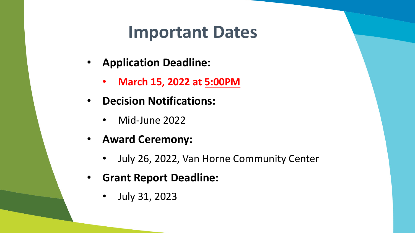#### **Important Dates**

- **Application Deadline:**
	- **March 15, 2022 at 5:00PM**
- **Decision Notifications:**
	- Mid-June 2022
- **Award Ceremony:**
	- July 26, 2022, Van Horne Community Center
- **Grant Report Deadline:**
	- July 31, 2023